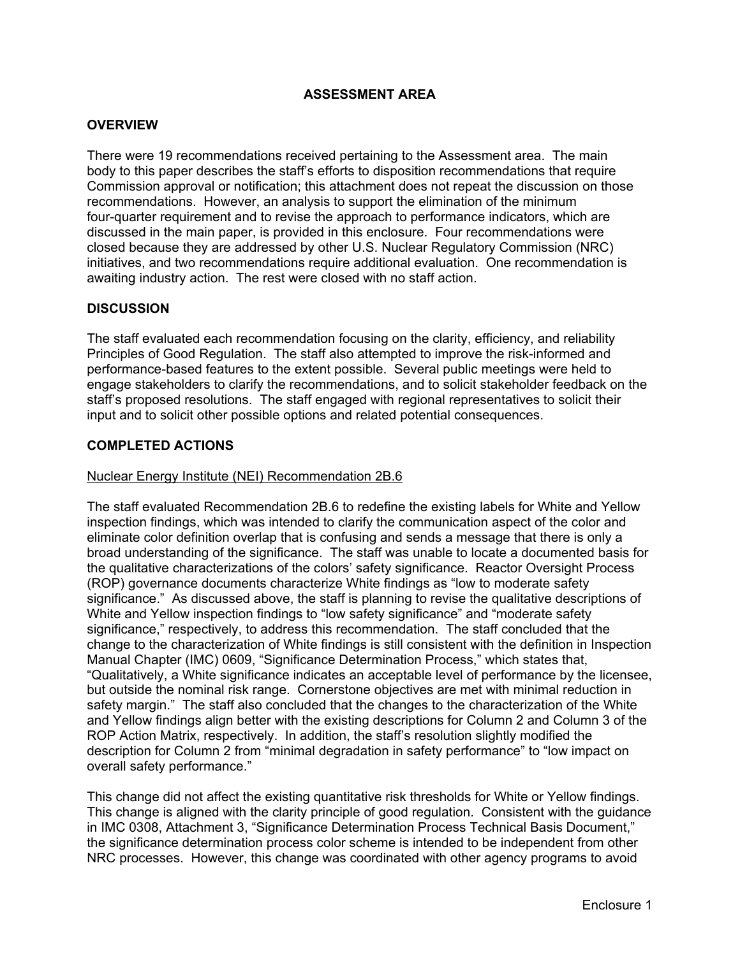# **ASSESSMENT AREA**

### **OVERVIEW**

There were 19 recommendations received pertaining to the Assessment area. The main body to this paper describes the staff's efforts to disposition recommendations that require Commission approval or notification; this attachment does not repeat the discussion on those recommendations. However, an analysis to support the elimination of the minimum four-quarter requirement and to revise the approach to performance indicators, which are discussed in the main paper, is provided in this enclosure. Four recommendations were closed because they are addressed by other U.S. Nuclear Regulatory Commission (NRC) initiatives, and two recommendations require additional evaluation. One recommendation is awaiting industry action. The rest were closed with no staff action.

# **DISCUSSION**

The staff evaluated each recommendation focusing on the clarity, efficiency, and reliability Principles of Good Regulation. The staff also attempted to improve the risk-informed and performance-based features to the extent possible. Several public meetings were held to engage stakeholders to clarify the recommendations, and to solicit stakeholder feedback on the staff's proposed resolutions. The staff engaged with regional representatives to solicit their input and to solicit other possible options and related potential consequences.

#### **COMPLETED ACTIONS**

#### Nuclear Energy Institute (NEI) Recommendation 2B.6

The staff evaluated Recommendation 2B.6 to redefine the existing labels for White and Yellow inspection findings, which was intended to clarify the communication aspect of the color and eliminate color definition overlap that is confusing and sends a message that there is only a broad understanding of the significance. The staff was unable to locate a documented basis for the qualitative characterizations of the colors' safety significance. Reactor Oversight Process (ROP) governance documents characterize White findings as "low to moderate safety significance." As discussed above, the staff is planning to revise the qualitative descriptions of White and Yellow inspection findings to "low safety significance" and "moderate safety significance," respectively, to address this recommendation. The staff concluded that the change to the characterization of White findings is still consistent with the definition in Inspection Manual Chapter (IMC) 0609, "Significance Determination Process," which states that, "Qualitatively, a White significance indicates an acceptable level of performance by the licensee, but outside the nominal risk range. Cornerstone objectives are met with minimal reduction in safety margin." The staff also concluded that the changes to the characterization of the White and Yellow findings align better with the existing descriptions for Column 2 and Column 3 of the ROP Action Matrix, respectively. In addition, the staff's resolution slightly modified the description for Column 2 from "minimal degradation in safety performance" to "low impact on overall safety performance."

This change did not affect the existing quantitative risk thresholds for White or Yellow findings. This change is aligned with the clarity principle of good regulation. Consistent with the guidance in IMC 0308, Attachment 3, "Significance Determination Process Technical Basis Document," the significance determination process color scheme is intended to be independent from other NRC processes. However, this change was coordinated with other agency programs to avoid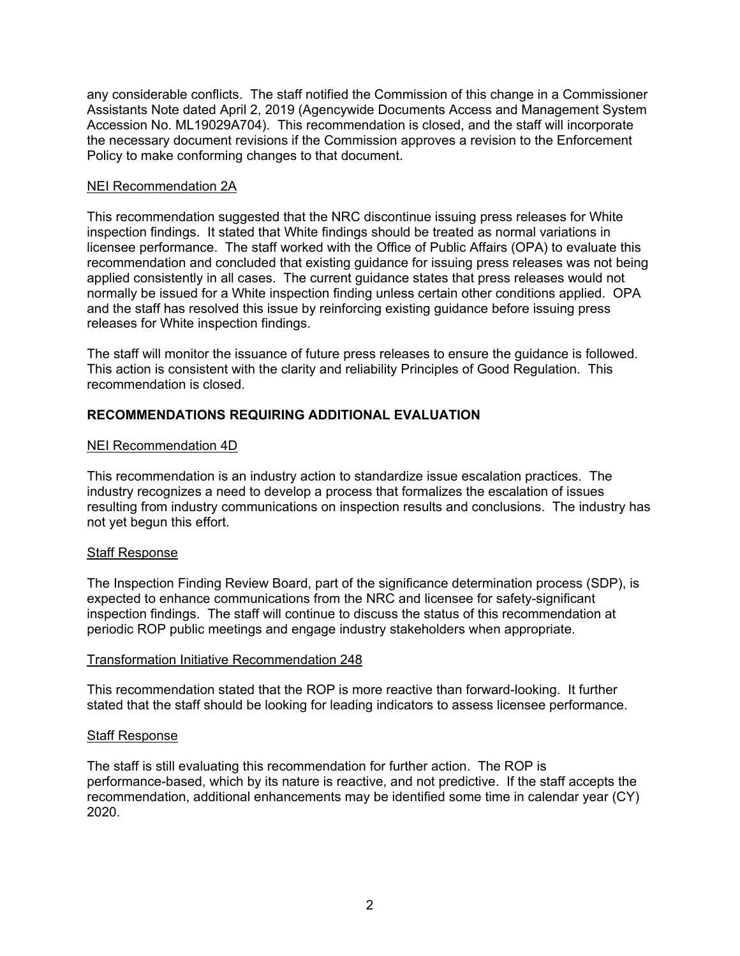any considerable conflicts. The staff notified the Commission of this change in a Commissioner Assistants Note dated April 2, 2019 (Agencywide Documents Access and Management System Accession No. ML19029A704). This recommendation is closed, and the staff will incorporate the necessary document revisions if the Commission approves a revision to the Enforcement Policy to make conforming changes to that document.

### NEI Recommendation 2A

This recommendation suggested that the NRC discontinue issuing press releases for White inspection findings. It stated that White findings should be treated as normal variations in licensee performance. The staff worked with the Office of Public Affairs (OPA) to evaluate this recommendation and concluded that existing guidance for issuing press releases was not being applied consistently in all cases. The current guidance states that press releases would not normally be issued for a White inspection finding unless certain other conditions applied. OPA and the staff has resolved this issue by reinforcing existing guidance before issuing press releases for White inspection findings.

The staff will monitor the issuance of future press releases to ensure the guidance is followed. This action is consistent with the clarity and reliability Principles of Good Regulation. This recommendation is closed.

# **RECOMMENDATIONS REQUIRING ADDITIONAL EVALUATION**

# NEI Recommendation 4D

This recommendation is an industry action to standardize issue escalation practices. The industry recognizes a need to develop a process that formalizes the escalation of issues resulting from industry communications on inspection results and conclusions. The industry has not yet begun this effort.

# Staff Response

The Inspection Finding Review Board, part of the significance determination process (SDP), is expected to enhance communications from the NRC and licensee for safety-significant inspection findings. The staff will continue to discuss the status of this recommendation at periodic ROP public meetings and engage industry stakeholders when appropriate.

#### Transformation Initiative Recommendation 248

This recommendation stated that the ROP is more reactive than forward-looking. It further stated that the staff should be looking for leading indicators to assess licensee performance.

#### Staff Response

The staff is still evaluating this recommendation for further action. The ROP is performance-based, which by its nature is reactive, and not predictive. If the staff accepts the recommendation, additional enhancements may be identified some time in calendar year (CY) 2020.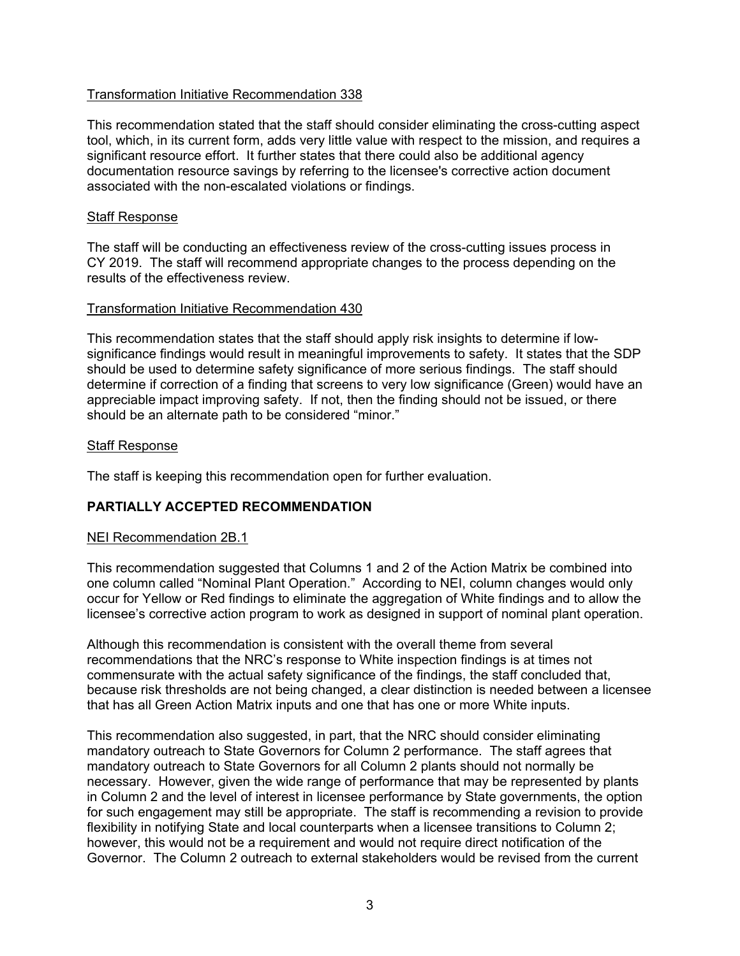# Transformation Initiative Recommendation 338

This recommendation stated that the staff should consider eliminating the cross-cutting aspect tool, which, in its current form, adds very little value with respect to the mission, and requires a significant resource effort. It further states that there could also be additional agency documentation resource savings by referring to the licensee's corrective action document associated with the non-escalated violations or findings.

# Staff Response

The staff will be conducting an effectiveness review of the cross-cutting issues process in CY 2019. The staff will recommend appropriate changes to the process depending on the results of the effectiveness review.

# Transformation Initiative Recommendation 430

This recommendation states that the staff should apply risk insights to determine if lowsignificance findings would result in meaningful improvements to safety. It states that the SDP should be used to determine safety significance of more serious findings. The staff should determine if correction of a finding that screens to very low significance (Green) would have an appreciable impact improving safety. If not, then the finding should not be issued, or there should be an alternate path to be considered "minor."

# Staff Response

The staff is keeping this recommendation open for further evaluation.

# **PARTIALLY ACCEPTED RECOMMENDATION**

#### NEI Recommendation 2B.1

This recommendation suggested that Columns 1 and 2 of the Action Matrix be combined into one column called "Nominal Plant Operation." According to NEI, column changes would only occur for Yellow or Red findings to eliminate the aggregation of White findings and to allow the licensee's corrective action program to work as designed in support of nominal plant operation.

Although this recommendation is consistent with the overall theme from several recommendations that the NRC's response to White inspection findings is at times not commensurate with the actual safety significance of the findings, the staff concluded that, because risk thresholds are not being changed, a clear distinction is needed between a licensee that has all Green Action Matrix inputs and one that has one or more White inputs.

This recommendation also suggested, in part, that the NRC should consider eliminating mandatory outreach to State Governors for Column 2 performance. The staff agrees that mandatory outreach to State Governors for all Column 2 plants should not normally be necessary. However, given the wide range of performance that may be represented by plants in Column 2 and the level of interest in licensee performance by State governments, the option for such engagement may still be appropriate. The staff is recommending a revision to provide flexibility in notifying State and local counterparts when a licensee transitions to Column 2; however, this would not be a requirement and would not require direct notification of the Governor. The Column 2 outreach to external stakeholders would be revised from the current